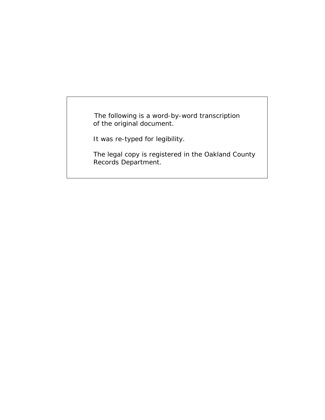The following is a word-by-word transcription of the original document.

It was re-typed for legibility.

 The legal copy is registered in the Oakland County Records Department.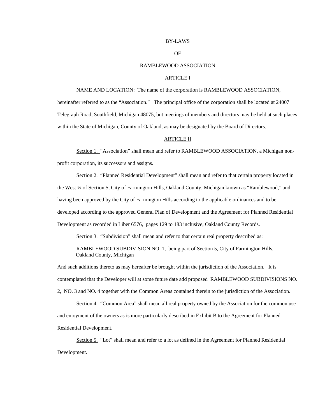## BY-LAWS

## OF

#### RAMBLEWOOD ASSOCIATION

## ARTICLE I

NAME AND LOCATION: The name of the corporation is RAMBLEWOOD ASSOCIATION,

hereinafter referred to as the "Association." The principal office of the corporation shall be located at 24007 Telegraph Road, Southfield, Michigan 48075, but meetings of members and directors may be held at such places within the State of Michigan, County of Oakland, as may be designated by the Board of Directors.

## ARTICLE II

Section 1. "Association" shall mean and refer to RAMBLEWOOD ASSOCIATION, a Michigan nonprofit corporation, its successors and assigns.

Section 2. "Planned Residential Development" shall mean and refer to that certain property located in the West ½ of Section 5, City of Farmington Hills, Oakland County, Michigan known as "Ramblewood," and having been approved by the City of Farmington Hills according to the applicable ordinances and to be developed according to the approved General Plan of Development and the Agreement for Planned Residential Development as recorded in Liber 6576, pages 129 to 183 inclusive, Oakland County Records.

Section 3. "Subdivision" shall mean and refer to that certain real property described as:

 RAMBLEWOOD SUBDIVISION NO. 1, being part of Section 5, City of Farmington Hills, Oakland County, Michigan

And such additions thereto as may hereafter be brought within the jurisdiction of the Association. It is contemplated that the Developer will at some future date add proposed RAMBLEWOOD SUBDIVISIONS NO. 2, NO. 3 and NO. 4 together with the Common Areas contained therein to the jurisdiction of the Association.

Section 4. "Common Area" shall mean all real property owned by the Association for the common use and enjoyment of the owners as is more particularly described in Exhibit B to the Agreement for Planned Residential Development.

Section 5. "Lot" shall mean and refer to a lot as defined in the Agreement for Planned Residential Development.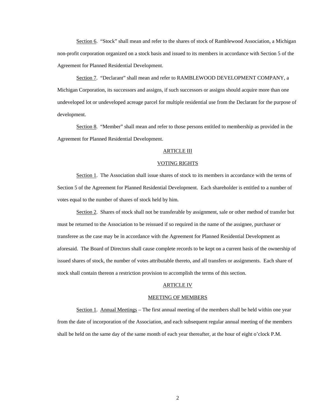Section 6. "Stock" shall mean and refer to the shares of stock of Ramblewood Association, a Michigan non-profit corporation organized on a stock basis and issued to its members in accordance with Section 5 of the Agreement for Planned Residential Development.

Section 7. "Declarant" shall mean and refer to RAMBLEWOOD DEVELOPMENT COMPANY, a Michigan Corporation, its successors and assigns, if such successors or assigns should acquire more than one undeveloped lot or undeveloped acreage parcel for multiple residential use from the Declarant for the purpose of development.

Section 8. "Member" shall mean and refer to those persons entitled to membership as provided in the Agreement for Planned Residential Development.

## ARTICLE III

### VOTING RIGHTS

Section 1. The Association shall issue shares of stock to its members in accordance with the terms of Section 5 of the Agreement for Planned Residential Development. Each shareholder is entitled to a number of votes equal to the number of shares of stock held by him.

Section 2. Shares of stock shall not be transferable by assignment, sale or other method of transfer but must be returned to the Association to be reissued if so required in the name of the assignee, purchaser or transferee as the case may be in accordance with the Agreement for Planned Residential Development as aforesaid. The Board of Directors shall cause complete records to be kept on a current basis of the ownership of issued shares of stock, the number of votes attributable thereto, and all transfers or assignments. Each share of stock shall contain thereon a restriction provision to accomplish the terms of this section.

#### ARTICLE IV

#### MEETING OF MEMBERS

Section 1. Annual Meetings – The first annual meeting of the members shall be held within one year from the date of incorporation of the Association, and each subsequent regular annual meeting of the members shall be held on the same day of the same month of each year thereafter, at the hour of eight o'clock P.M.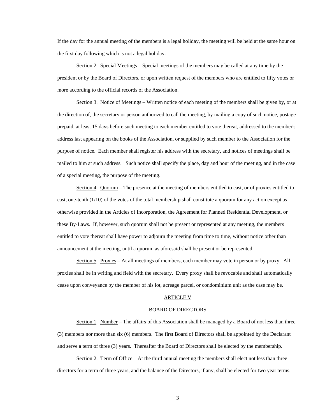If the day for the annual meeting of the members is a legal holiday, the meeting will be held at the same hour on the first day following which is not a legal holiday.

Section 2. Special Meetings – Special meetings of the members may be called at any time by the president or by the Board of Directors, or upon written request of the members who are entitled to fifty votes or more according to the official records of the Association.

Section 3. Notice of Meetings – Written notice of each meeting of the members shall be given by, or at the direction of, the secretary or person authorized to call the meeting, by mailing a copy of such notice, postage prepaid, at least 15 days before such meeting to each member entitled to vote thereat, addressed to the member's address last appearing on the books of the Association, or supplied by such member to the Association for the purpose of notice. Each member shall register his address with the secretary, and notices of meetings shall be mailed to him at such address. Such notice shall specify the place, day and hour of the meeting, and in the case of a special meeting, the purpose of the meeting.

Section 4. Quorum – The presence at the meeting of members entitled to cast, or of proxies entitled to cast, one-tenth (1/10) of the votes of the total membership shall constitute a quorum for any action except as otherwise provided in the Articles of Incorporation, the Agreement for Planned Residential Development, or these By-Laws. If, however, such quorum shall not be present or represented at any meeting, the members entitled to vote thereat shall have power to adjourn the meeting from time to time, without notice other than announcement at the meeting, until a quorum as aforesaid shall be present or be represented.

Section 5. Proxies – At all meetings of members, each member may vote in person or by proxy. All proxies shall be in writing and field with the secretary. Every proxy shall be revocable and shall automatically cease upon conveyance by the member of his lot, acreage parcel, or condominium unit as the case may be.

# ARTICLE V

## BOARD OF DIRECTORS

Section 1. Number – The affairs of this Association shall be managed by a Board of not less than three (3) members nor more than six (6) members. The first Board of Directors shall be appointed by the Declarant and serve a term of three (3) years. Thereafter the Board of Directors shall be elected by the membership.

Section 2. Term of Office – At the third annual meeting the members shall elect not less than three directors for a term of three years, and the balance of the Directors, if any, shall be elected for two year terms.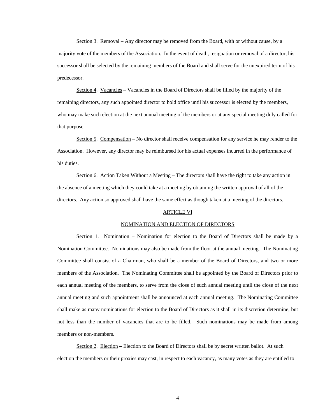Section 3. Removal – Any director may be removed from the Board, with or without cause, by a majority vote of the members of the Association. In the event of death, resignation or removal of a director, his successor shall be selected by the remaining members of the Board and shall serve for the unexpired term of his predecessor.

Section 4. Vacancies – Vacancies in the Board of Directors shall be filled by the majority of the remaining directors, any such appointed director to hold office until his successor is elected by the members, who may make such election at the next annual meeting of the members or at any special meeting duly called for that purpose.

Section 5. Compensation – No director shall receive compensation for any service he may render to the Association. However, any director may be reimbursed for his actual expenses incurred in the performance of his duties.

Section 6. Action Taken Without a Meeting – The directors shall have the right to take any action in the absence of a meeting which they could take at a meeting by obtaining the written approval of all of the directors. Any action so approved shall have the same effect as though taken at a meeting of the directors.

## ARTICLE VI

## NOMINATION AND ELECTION OF DIRECTORS

Section 1. Nomination – Nomination for election to the Board of Directors shall be made by a Nomination Committee. Nominations may also be made from the floor at the annual meeting. The Nominating Committee shall consist of a Chairman, who shall be a member of the Board of Directors, and two or more members of the Association. The Nominating Committee shall be appointed by the Board of Directors prior to each annual meeting of the members, to serve from the close of such annual meeting until the close of the next annual meeting and such appointment shall be announced at each annual meeting. The Nominating Committee shall make as many nominations for election to the Board of Directors as it shall in its discretion determine, but not less than the number of vacancies that are to be filled. Such nominations may be made from among members or non-members.

Section 2. Election – Election to the Board of Directors shall be by secret written ballot. At such election the members or their proxies may cast, in respect to each vacancy, as many votes as they are entitled to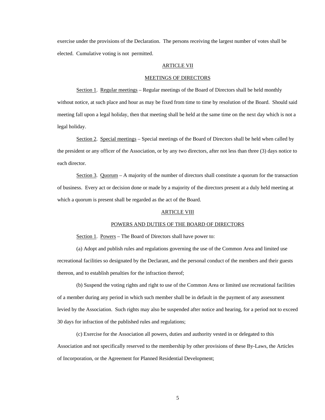exercise under the provisions of the Declaration. The persons receiving the largest number of votes shall be elected. Cumulative voting is not permitted.

#### ARTICLE VII

#### MEETINGS OF DIRECTORS

Section 1. Regular meetings – Regular meetings of the Board of Directors shall be held monthly without notice, at such place and hour as may be fixed from time to time by resolution of the Board. Should said meeting fall upon a legal holiday, then that meeting shall be held at the same time on the next day which is not a legal holiday.

Section 2. Special meetings – Special meetings of the Board of Directors shall be held when called by the president or any officer of the Association, or by any two directors, after not less than three (3) days notice to each director.

Section 3. Quorum – A majority of the number of directors shall constitute a quorum for the transaction of business. Every act or decision done or made by a majority of the directors present at a duly held meeting at which a quorum is present shall be regarded as the act of the Board.

## **ARTICLE VIII**

## POWERS AND DUTIES OF THE BOARD OF DIRECTORS

Section 1. Powers – The Board of Directors shall have power to:

 (a) Adopt and publish rules and regulations governing the use of the Common Area and limited use recreational facilities so designated by the Declarant, and the personal conduct of the members and their guests thereon, and to establish penalties for the infraction thereof;

 (b) Suspend the voting rights and right to use of the Common Area or limited use recreational facilities of a member during any period in which such member shall be in default in the payment of any assessment levied by the Association. Such rights may also be suspended after notice and hearing, for a period not to exceed 30 days for infraction of the published rules and regulations;

(c) Exercise for the Association all powers, duties and authority vested in or delegated to this

Association and not specifically reserved to the membership by other provisions of these By-Laws, the Articles of Incorporation, or the Agreement for Planned Residential Development;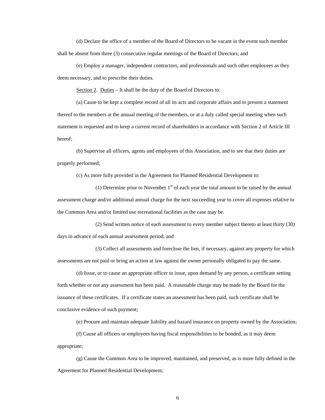(d) Declare the office of a member of the Board of Directors to be vacant in the event such member shall be absent from three (3) consecutive regular meetings of the Board of Directors; and

 (e) Employ a manager, independent contractors, and professionals and such other employees as they deem necessary, and to prescribe their duties.

Section 2. Duties – It shall be the duty of the Board of Directors to:

 (a) Cause to be kept a complete record of all its acts and corporate affairs and to present a statement thereof to the members at the annual meeting of the members, or at a duly called special meeting when such statement is requested and to keep a current record of shareholders in accordance with Section 2 of Article III hereof;

 (b) Supervise all officers, agents and employees of this Association, and to see that their duties are properly performed;

(c) As more fully provided in the Agreement for Planned Residential Development to:

(1) Determine prior to November  $1<sup>st</sup>$  of each year the total amount to be raised by the annual assessment charge and/or additional annual charge for the next succeeding year to cover all expenses relative to the Common Area and/or limited use recreational facilities as the case may be.

 (2) Send written notice of each assessment to every member subject thereto at least thirty (30) days in advance of each annual assessment period; and

 (3) Collect all assessments and foreclose the lien, if necessary, against any property for which assessments are not paid or bring an action at law against the owner personally obligated to pay the same.

 (d) Issue, or to cause an appropriate officer to issue, upon demand by any person, a certificate setting forth whether or not any assessment has been paid. A reasonable charge may be made by the Board for the issuance of these certificates. If a certificate states an assessment has been paid, such certificate shall be conclusive evidence of such payment;

(e) Procure and maintain adequate liability and hazard insurance on property owned by the Association;

(f) Cause all officers or employees having fiscal responsibilities to be bonded, as it may deem

appropriate;

 (g) Cause the Common Area to be improved, maintained, and preserved, as is more fully defined in the Agreement for Planned Residential Development;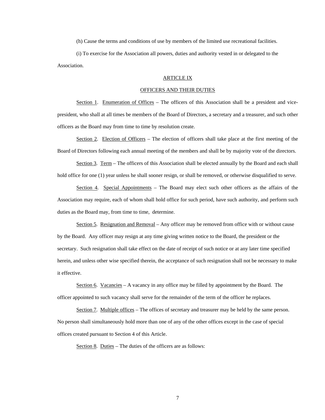(h) Cause the terms and conditions of use by members of the limited use recreational facilities.

 (i) To exercise for the Association all powers, duties and authority vested in or delegated to the Association.

## ARTICLE IX

## OFFICERS AND THEIR DUTIES

Section 1. Enumeration of Offices – The officers of this Association shall be a president and vicepresident, who shall at all times be members of the Board of Directors, a secretary and a treasurer, and such other officers as the Board may from time to time by resolution create.

Section 2. Election of Officers – The election of officers shall take place at the first meeting of the Board of Directors following each annual meeting of the members and shall be by majority vote of the directors.

Section 3. Term – The officers of this Association shall be elected annually by the Board and each shall hold office for one (1) year unless he shall sooner resign, or shall be removed, or otherwise disqualified to serve.

Section 4. Special Appointments – The Board may elect such other officers as the affairs of the Association may require, each of whom shall hold office for such period, have such authority, and perform such duties as the Board may, from time to time, determine.

Section 5. Resignation and Removal – Any officer may be removed from office with or without cause by the Board. Any officer may resign at any time giving written notice to the Board, the president or the secretary. Such resignation shall take effect on the date of receipt of such notice or at any later time specified herein, and unless other wise specified therein, the acceptance of such resignation shall not be necessary to make it effective.

Section 6. Vacancies – A vacancy in any office may be filled by appointment by the Board. The officer appointed to such vacancy shall serve for the remainder of the term of the officer he replaces.

Section 7. Multiple offices – The offices of secretary and treasurer may be held by the same person. No person shall simultaneously hold more than one of any of the other offices except in the case of special offices created pursuant to Section 4 of this Article.

Section 8. Duties – The duties of the officers are as follows: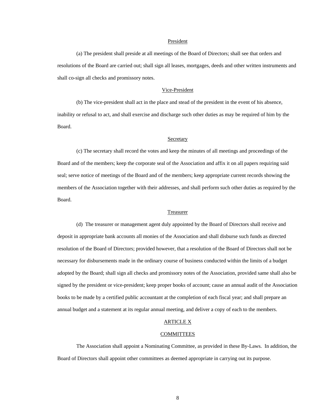## President

 (a) The president shall preside at all meetings of the Board of Directors; shall see that orders and resolutions of the Board are carried out; shall sign all leases, mortgages, deeds and other written instruments and shall co-sign all checks and promissory notes.

# Vice-President

 (b) The vice-president shall act in the place and stead of the president in the event of his absence, inability or refusal to act, and shall exercise and discharge such other duties as may be required of him by the Board.

## **Secretary**

 (c) The secretary shall record the votes and keep the minutes of all meetings and proceedings of the Board and of the members; keep the corporate seal of the Association and affix it on all papers requiring said seal; serve notice of meetings of the Board and of the members; keep appropriate current records showing the members of the Association together with their addresses, and shall perform such other duties as required by the Board.

#### Treasurer

 (d) The treasurer or management agent duly appointed by the Board of Directors shall receive and deposit in appropriate bank accounts all monies of the Association and shall disburse such funds as directed resolution of the Board of Directors; provided however, that a resolution of the Board of Directors shall not be necessary for disbursements made in the ordinary course of business conducted within the limits of a budget adopted by the Board; shall sign all checks and promissory notes of the Association, provided same shall also be signed by the president or vice-president; keep proper books of account; cause an annual audit of the Association books to be made by a certified public accountant at the completion of each fiscal year; and shall prepare an annual budget and a statement at its regular annual meeting, and deliver a copy of each to the members.

## ARTICLE X

#### COMMITTEES

 The Association shall appoint a Nominating Committee, as provided in these By-Laws. In addition, the Board of Directors shall appoint other committees as deemed appropriate in carrying out its purpose.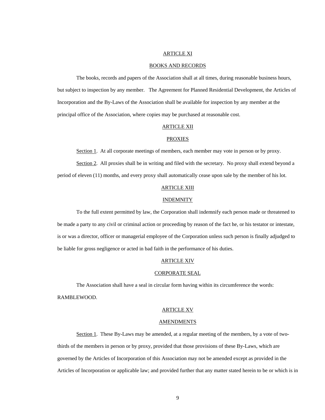## ARTICLE XI

### BOOKS AND RECORDS

 The books, records and papers of the Association shall at all times, during reasonable business hours, but subject to inspection by any member. The Agreement for Planned Residential Development, the Articles of Incorporation and the By-Laws of the Association shall be available for inspection by any member at the principal office of the Association, where copies may be purchased at reasonable cost.

# ARTICLE XII

## **PROXIES**

Section 1. At all corporate meetings of members, each member may vote in person or by proxy.

Section 2. All proxies shall be in writing and filed with the secretary. No proxy shall extend beyond a period of eleven (11) months, and every proxy shall automatically cease upon sale by the member of his lot.

## ARTICLE XIII

#### **INDEMNITY**

 To the full extent permitted by law, the Corporation shall indemnify each person made or threatened to be made a party to any civil or criminal action or proceeding by reason of the fact he, or his testator or intestate, is or was a director, officer or managerial employee of the Corporation unless such person is finally adjudged to be liable for gross negligence or acted in bad faith in the performance of his duties.

### ARTICLE XIV

#### CORPORATE SEAL

 The Association shall have a seal in circular form having within its circumference the words: RAMBLEWOOD.

# ARTICLE XV

#### AMENDMENTS

Section 1. These By-Laws may be amended, at a regular meeting of the members, by a vote of twothirds of the members in person or by proxy, provided that those provisions of these By-Laws, which are governed by the Articles of Incorporation of this Association may not be amended except as provided in the Articles of Incorporation or applicable law; and provided further that any matter stated herein to be or which is in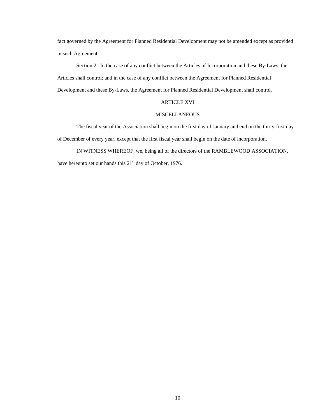fact governed by the Agreement for Planned Residential Development may not be amended except as provided in such Agreement.

Section 2. In the case of any conflict between the Articles of Incorporation and these By-Laws, the Articles shall control; and in the case of any conflict between the Agreement for Planned Residential Development and these By-Laws, the Agreement for Planned Residential Development shall control.

## ARTICLE XVI

## MISCELLANEOUS

 The fiscal year of the Association shall begin on the first day of January and end on the thirty-first day of December of every year, except that the first fiscal year shall begin on the date of incorporation.

 IN WITNESS WHEREOF, we, being all of the directors of the RAMBLEWOOD ASSOCIATION, have hereunto set our hands this 21<sup>st</sup> day of October, 1976.